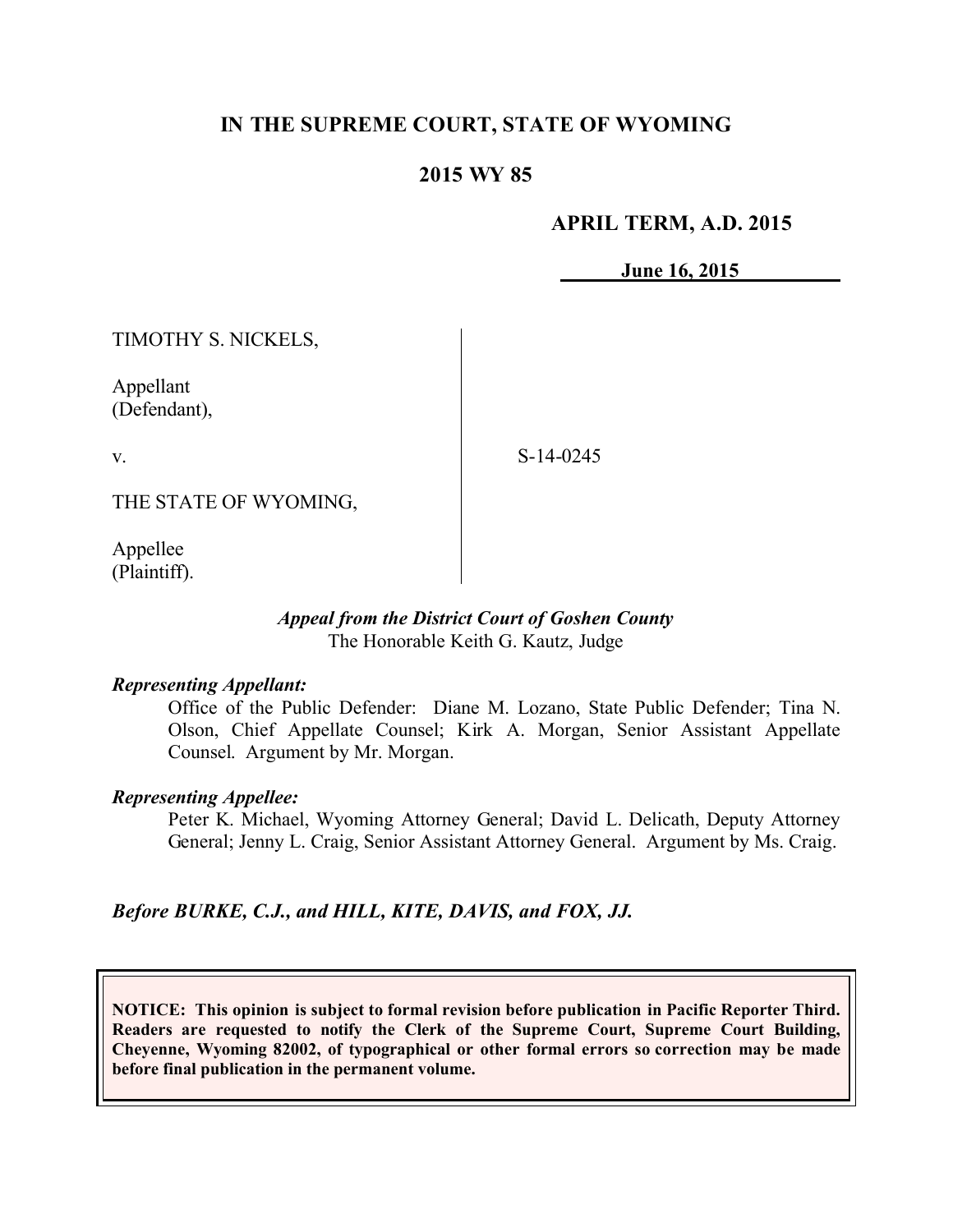# **IN THE SUPREME COURT, STATE OF WYOMING**

## **2015 WY 85**

### **APRIL TERM, A.D. 2015**

**June 16, 2015**

TIMOTHY S. NICKELS,

Appellant (Defendant),

v.

S-14-0245

THE STATE OF WYOMING,

Appellee (Plaintiff).

#### *Appeal from the District Court of Goshen County* The Honorable Keith G. Kautz, Judge

#### *Representing Appellant:*

Office of the Public Defender: Diane M. Lozano, State Public Defender; Tina N. Olson, Chief Appellate Counsel; Kirk A. Morgan, Senior Assistant Appellate Counsel. Argument by Mr. Morgan.

#### *Representing Appellee:*

Peter K. Michael, Wyoming Attorney General; David L. Delicath, Deputy Attorney General; Jenny L. Craig, Senior Assistant Attorney General. Argument by Ms. Craig.

*Before BURKE, C.J., and HILL, KITE, DAVIS, and FOX, JJ.*

**NOTICE: This opinion is subject to formal revision before publication in Pacific Reporter Third. Readers are requested to notify the Clerk of the Supreme Court, Supreme Court Building, Cheyenne, Wyoming 82002, of typographical or other formal errors so correction may be made before final publication in the permanent volume.**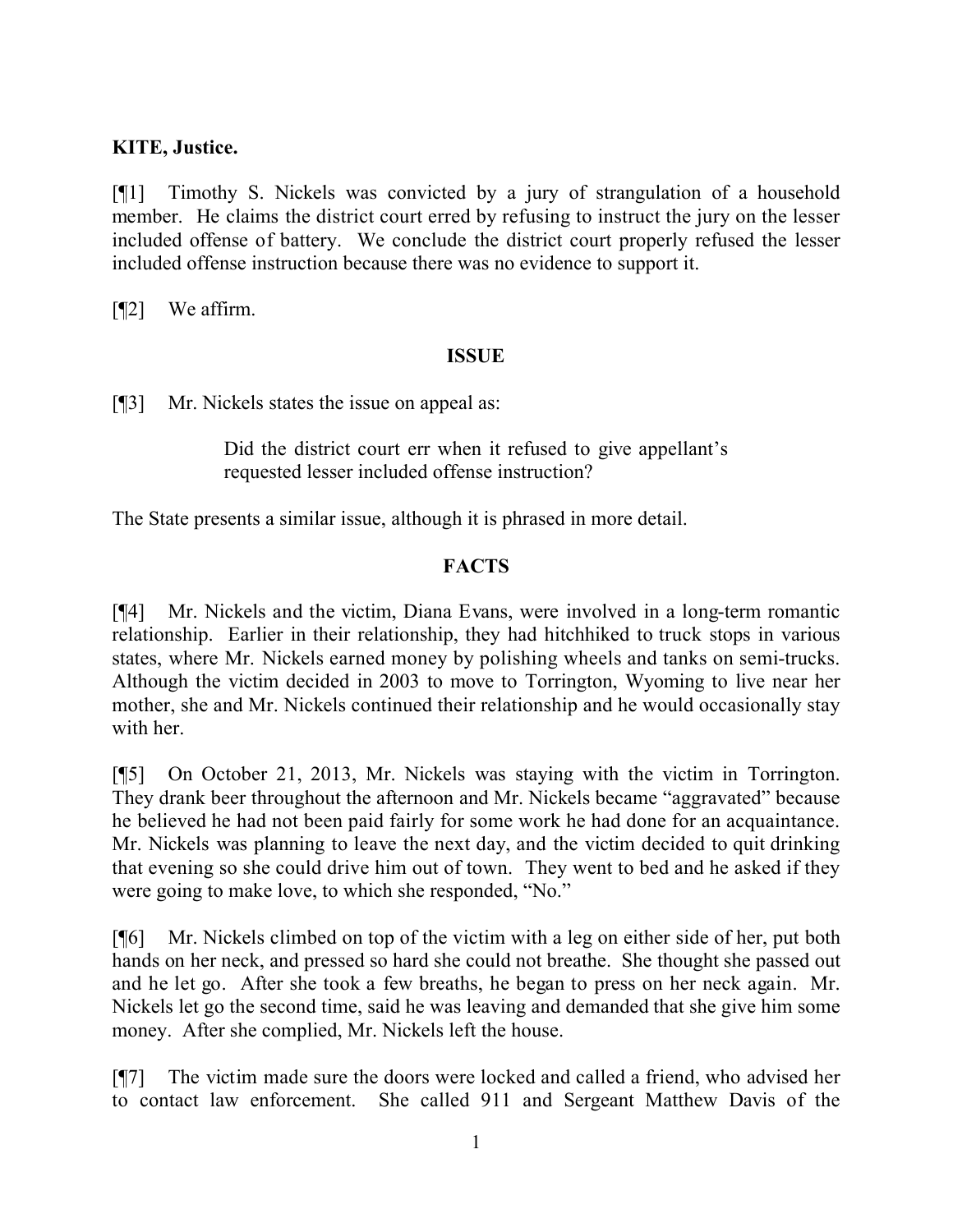## **KITE, Justice.**

[¶1] Timothy S. Nickels was convicted by a jury of strangulation of a household member. He claims the district court erred by refusing to instruct the jury on the lesser included offense of battery. We conclude the district court properly refused the lesser included offense instruction because there was no evidence to support it.

[¶2] We affirm.

## **ISSUE**

[¶3] Mr. Nickels states the issue on appeal as:

Did the district court err when it refused to give appellant's requested lesser included offense instruction?

The State presents a similar issue, although it is phrased in more detail.

# **FACTS**

[¶4] Mr. Nickels and the victim, Diana Evans, were involved in a long-term romantic relationship. Earlier in their relationship, they had hitchhiked to truck stops in various states, where Mr. Nickels earned money by polishing wheels and tanks on semi-trucks. Although the victim decided in 2003 to move to Torrington, Wyoming to live near her mother, she and Mr. Nickels continued their relationship and he would occasionally stay with her.

[¶5] On October 21, 2013, Mr. Nickels was staying with the victim in Torrington. They drank beer throughout the afternoon and Mr. Nickels became "aggravated" because he believed he had not been paid fairly for some work he had done for an acquaintance. Mr. Nickels was planning to leave the next day, and the victim decided to quit drinking that evening so she could drive him out of town. They went to bed and he asked if they were going to make love, to which she responded, "No."

[¶6] Mr. Nickels climbed on top of the victim with a leg on either side of her, put both hands on her neck, and pressed so hard she could not breathe. She thought she passed out and he let go. After she took a few breaths, he began to press on her neck again. Mr. Nickels let go the second time, said he was leaving and demanded that she give him some money. After she complied, Mr. Nickels left the house.

[¶7] The victim made sure the doors were locked and called a friend, who advised her to contact law enforcement. She called 911 and Sergeant Matthew Davis of the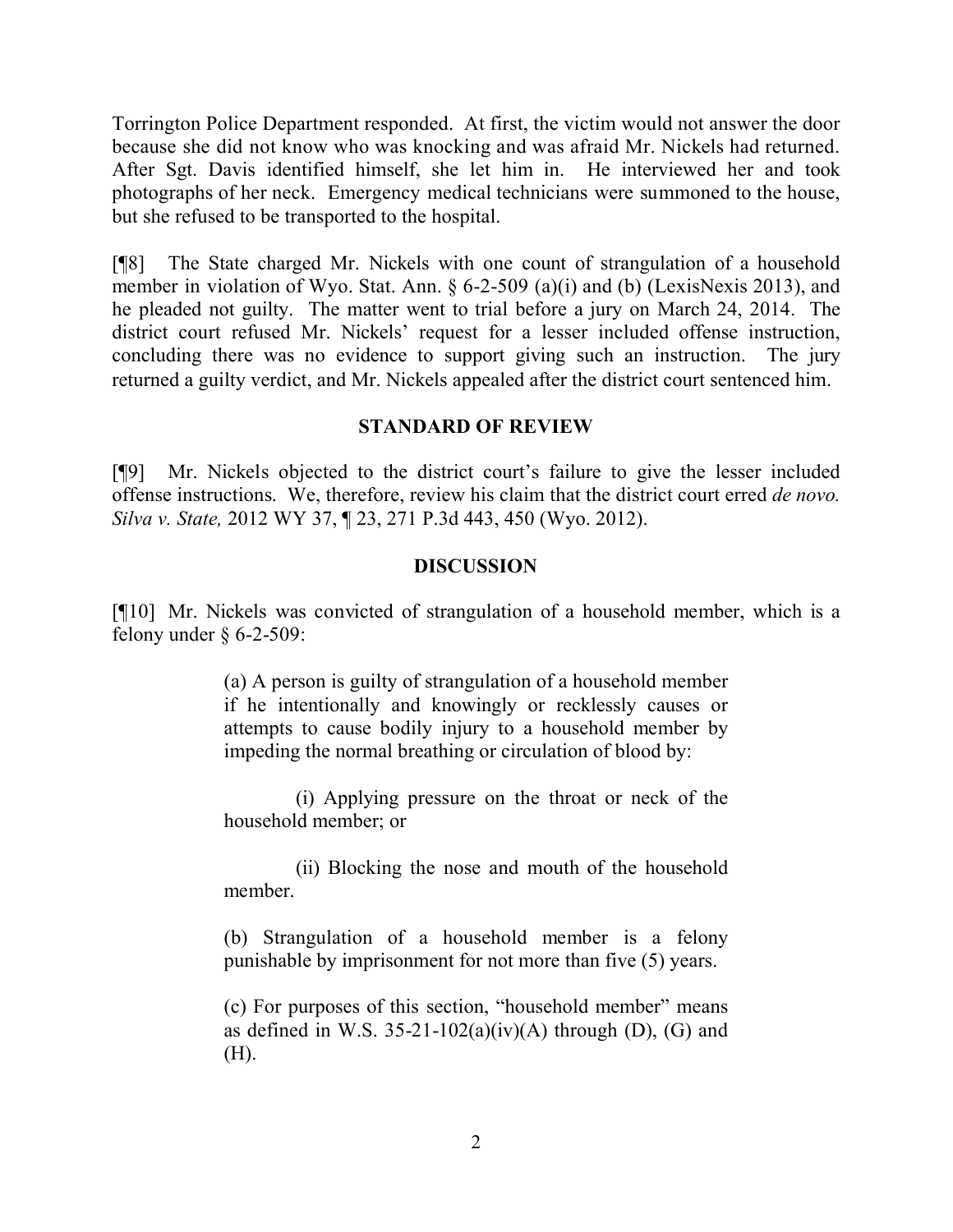Torrington Police Department responded. At first, the victim would not answer the door because she did not know who was knocking and was afraid Mr. Nickels had returned. After Sgt. Davis identified himself, she let him in. He interviewed her and took photographs of her neck. Emergency medical technicians were summoned to the house, but she refused to be transported to the hospital.

[¶8] The State charged Mr. Nickels with one count of strangulation of a household member in violation of Wyo. Stat. Ann. § 6-2-509 (a)(i) and (b) (LexisNexis 2013), and he pleaded not guilty. The matter went to trial before a jury on March 24, 2014. The district court refused Mr. Nickels' request for a lesser included offense instruction, concluding there was no evidence to support giving such an instruction. The jury returned a guilty verdict, and Mr. Nickels appealed after the district court sentenced him.

## **STANDARD OF REVIEW**

[¶9] Mr. Nickels objected to the district court's failure to give the lesser included offense instructions. We, therefore, review his claim that the district court erred *de novo. Silva v. State,* 2012 WY 37, ¶ 23, 271 P.3d 443, 450 (Wyo. 2012).

#### **DISCUSSION**

[¶10] Mr. Nickels was convicted of strangulation of a household member, which is a felony under  $§$  6-2-509:

> (a) A person is guilty of strangulation of a household member if he intentionally and knowingly or recklessly causes or attempts to cause bodily injury to a household member by impeding the normal breathing or circulation of blood by:

> (i) Applying pressure on the throat or neck of the household member; or

> (ii) Blocking the nose and mouth of the household member.

> (b) Strangulation of a household member is a felony punishable by imprisonment for not more than five (5) years.

> (c) For purposes of this section, "household member" means as defined in W.S.  $35-21-102(a)(iv)(A)$  through (D), (G) and (H).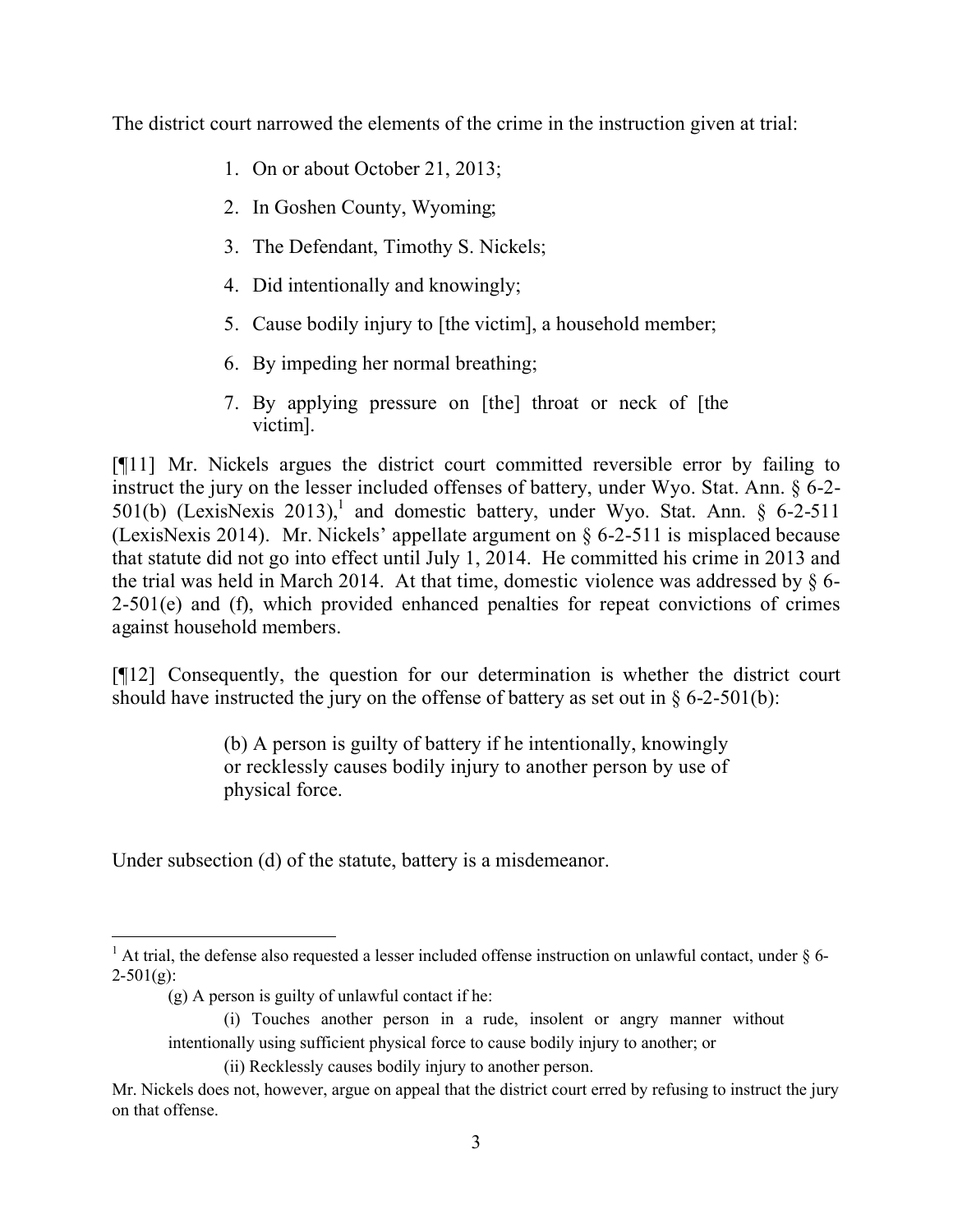The district court narrowed the elements of the crime in the instruction given at trial:

- 1. On or about October 21, 2013;
- 2. In Goshen County, Wyoming;
- 3. The Defendant, Timothy S. Nickels;
- 4. Did intentionally and knowingly;
- 5. Cause bodily injury to [the victim], a household member;
- 6. By impeding her normal breathing;
- 7. By applying pressure on [the] throat or neck of [the victim].

[¶11] Mr. Nickels argues the district court committed reversible error by failing to instruct the jury on the lesser included offenses of battery, under Wyo. Stat. Ann. § 6-2- 501(b) (LexisNexis 2013),<sup>1</sup> and domestic battery, under Wyo. Stat. Ann.  $\S$  6-2-511 (LexisNexis 2014). Mr. Nickels' appellate argument on § 6-2-511 is misplaced because that statute did not go into effect until July 1, 2014. He committed his crime in 2013 and the trial was held in March 2014. At that time, domestic violence was addressed by  $\S$  6- $2-501(e)$  and (f), which provided enhanced penalties for repeat convictions of crimes against household members.

[¶12] Consequently, the question for our determination is whether the district court should have instructed the jury on the offense of battery as set out in  $\S$  6-2-501(b):

> (b) A person is guilty of battery if he intentionally, knowingly or recklessly causes bodily injury to another person by use of physical force.

Under subsection (d) of the statute, battery is a misdemeanor.

(i) Touches another person in a rude, insolent or angry manner without intentionally using sufficient physical force to cause bodily injury to another; or

 <sup>1</sup> At trial, the defense also requested a lesser included offense instruction on unlawful contact, under  $\delta$  6- $2 - 501(g)$ :

<sup>(</sup>g) A person is guilty of unlawful contact if he:

<sup>(</sup>ii) Recklessly causes bodily injury to another person.

Mr. Nickels does not, however, argue on appeal that the district court erred by refusing to instruct the jury on that offense.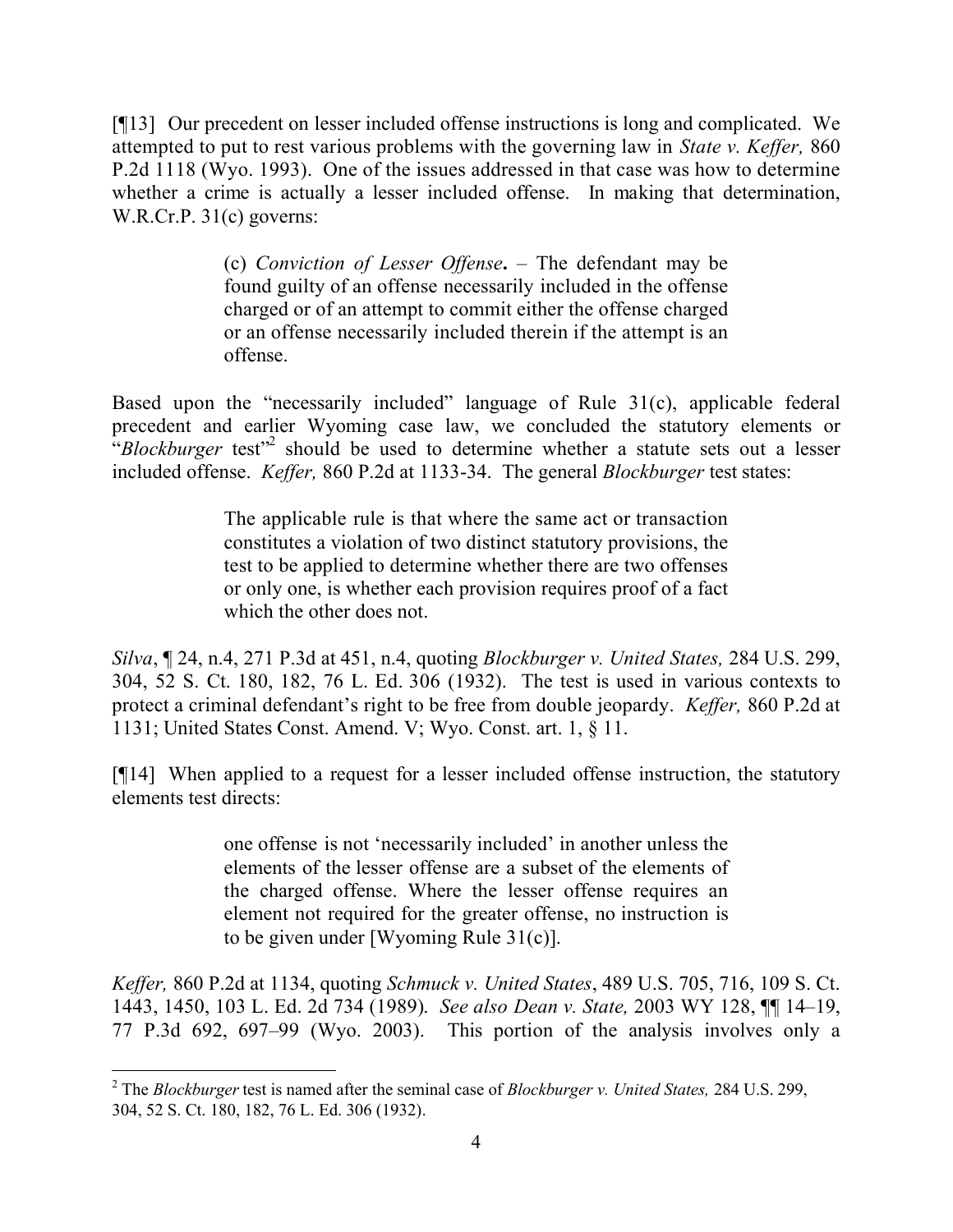[¶13] Our precedent on lesser included offense instructions is long and complicated. We attempted to put to rest various problems with the governing law in *State v. Keffer,* 860 P.2d 1118 (Wyo. 1993). One of the issues addressed in that case was how to determine whether a crime is actually a lesser included offense. In making that determination, W.R.Cr.P. 31(c) governs:

> (c) *Conviction of Lesser Offense***.** – The defendant may be found guilty of an offense necessarily included in the offense charged or of an attempt to commit either the offense charged or an offense necessarily included therein if the attempt is an offense.

Based upon the "necessarily included" language of Rule 31(c), applicable federal precedent and earlier Wyoming case law, we concluded the statutory elements or <sup>"</sup>*Blockburger* test"<sup>2</sup> should be used to determine whether a statute sets out a lesser included offense. *Keffer,* 860 P.2d at 1133-34. The general *Blockburger* test states:

> The applicable rule is that where the same act or transaction constitutes a violation of two distinct statutory provisions, the test to be applied to determine whether there are two offenses or only one, is whether each provision requires proof of a fact which the other does not.

*Silva*, ¶ 24, n.4, 271 P.3d at 451, n.4, quoting *Blockburger v. United States,* 284 U.S. 299, 304, 52 S. Ct. 180, 182, 76 L. Ed. 306 (1932). The test is used in various contexts to protect a criminal defendant's right to be free from double jeopardy. *Keffer,* 860 P.2d at 1131; United States Const. Amend. V; Wyo. Const. art. 1, § 11.

[¶14] When applied to a request for a lesser included offense instruction, the statutory elements test directs:

> one offense is not 'necessarily included' in another unless the elements of the lesser offense are a subset of the elements of the charged offense. Where the lesser offense requires an element not required for the greater offense, no instruction is to be given under [Wyoming Rule 31(c)].

*Keffer,* 860 P.2d at 1134, quoting *Schmuck v. United States*, 489 U.S. 705, 716, 109 S. Ct. 1443, 1450, 103 L. Ed. 2d 734 (1989). *See also Dean v. State,* 2003 WY 128, ¶¶ 14–19, 77 P.3d 692, 697–99 (Wyo. 2003). This portion of the analysis involves only a

<sup>2</sup> The *Blockburger* test is named after the seminal case of *Blockburger v. United States,* 284 U.S. 299, 304, 52 S. Ct. 180, 182, 76 L. Ed. 306 (1932).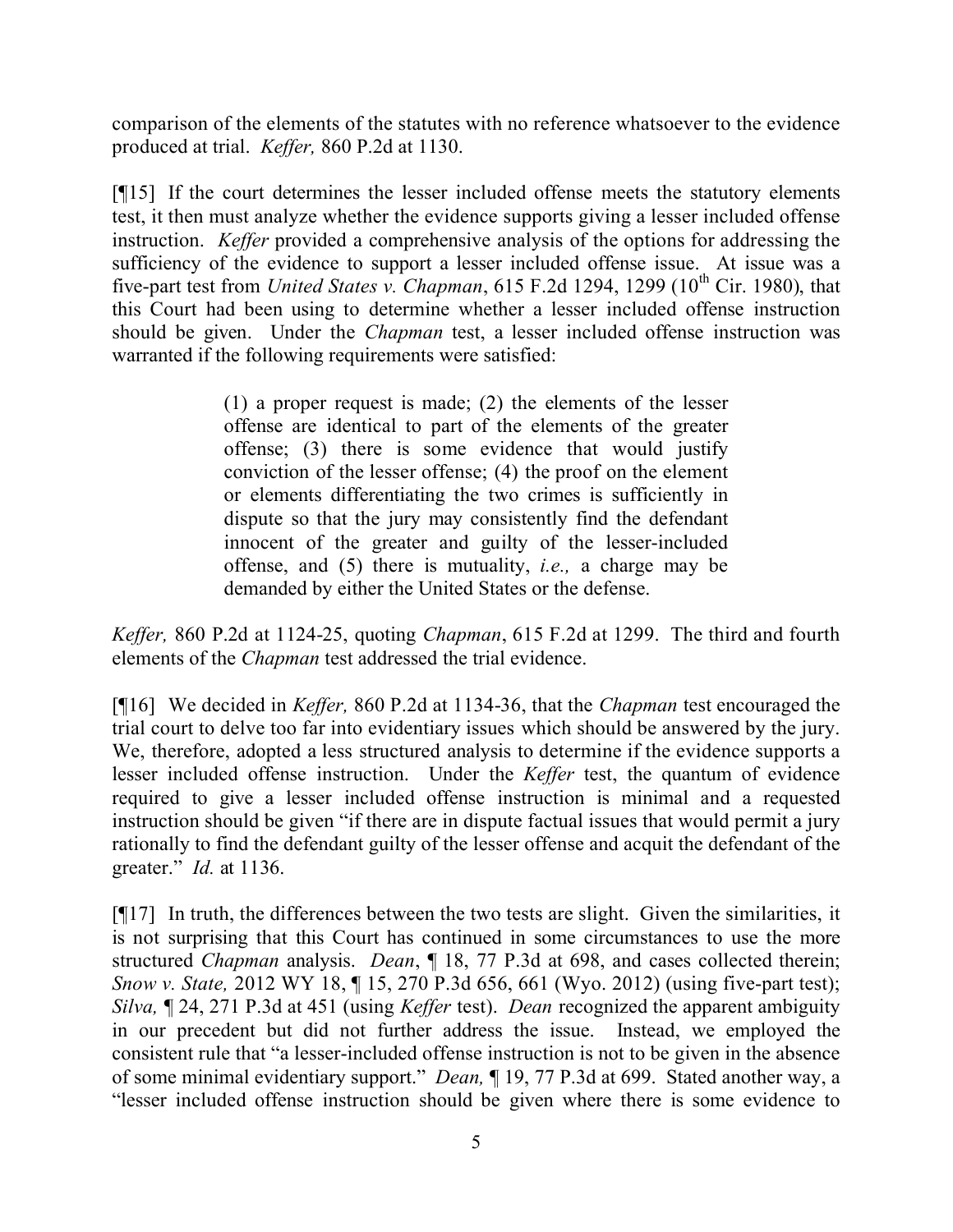comparison of the elements of the statutes with no reference whatsoever to the evidence produced at trial. *Keffer,* 860 P.2d at 1130.

[¶15] If the court determines the lesser included offense meets the statutory elements test, it then must analyze whether the evidence supports giving a lesser included offense instruction. *Keffer* provided a comprehensive analysis of the options for addressing the sufficiency of the evidence to support a lesser included offense issue. At issue was a five-part test from *United States v. Chapman*, 615 F.2d 1294, 1299 ( $10^{th}$  Cir. 1980), that this Court had been using to determine whether a lesser included offense instruction should be given. Under the *Chapman* test, a lesser included offense instruction was warranted if the following requirements were satisfied:

> (1) a proper request is made; (2) the elements of the lesser offense are identical to part of the elements of the greater offense; (3) there is some evidence that would justify conviction of the lesser offense; (4) the proof on the element or elements differentiating the two crimes is sufficiently in dispute so that the jury may consistently find the defendant innocent of the greater and guilty of the lesser-included offense, and (5) there is mutuality, *i.e.,* a charge may be demanded by either the United States or the defense.

*Keffer,* 860 P.2d at 1124-25, quoting *Chapman*, 615 F.2d at 1299. The third and fourth elements of the *Chapman* test addressed the trial evidence.

[¶16] We decided in *Keffer,* 860 P.2d at 1134-36, that the *Chapman* test encouraged the trial court to delve too far into evidentiary issues which should be answered by the jury. We, therefore, adopted a less structured analysis to determine if the evidence supports a lesser included offense instruction. Under the *Keffer* test, the quantum of evidence required to give a lesser included offense instruction is minimal and a requested instruction should be given "if there are in dispute factual issues that would permit a jury rationally to find the defendant guilty of the lesser offense and acquit the defendant of the greater." *Id.* at 1136.

[¶17] In truth, the differences between the two tests are slight. Given the similarities, it is not surprising that this Court has continued in some circumstances to use the more structured *Chapman* analysis. *Dean*, ¶ 18, 77 P.3d at 698, and cases collected therein; *Snow v. State,* 2012 WY 18, ¶ 15, 270 P.3d 656, 661 (Wyo. 2012) (using five-part test); *Silva,* ¶ 24, 271 P.3d at 451 (using *Keffer* test). *Dean* recognized the apparent ambiguity in our precedent but did not further address the issue. Instead, we employed the consistent rule that "a lesser-included offense instruction is not to be given in the absence of some minimal evidentiary support." *Dean,* ¶ 19, 77 P.3d at 699. Stated another way, a "lesser included offense instruction should be given where there is some evidence to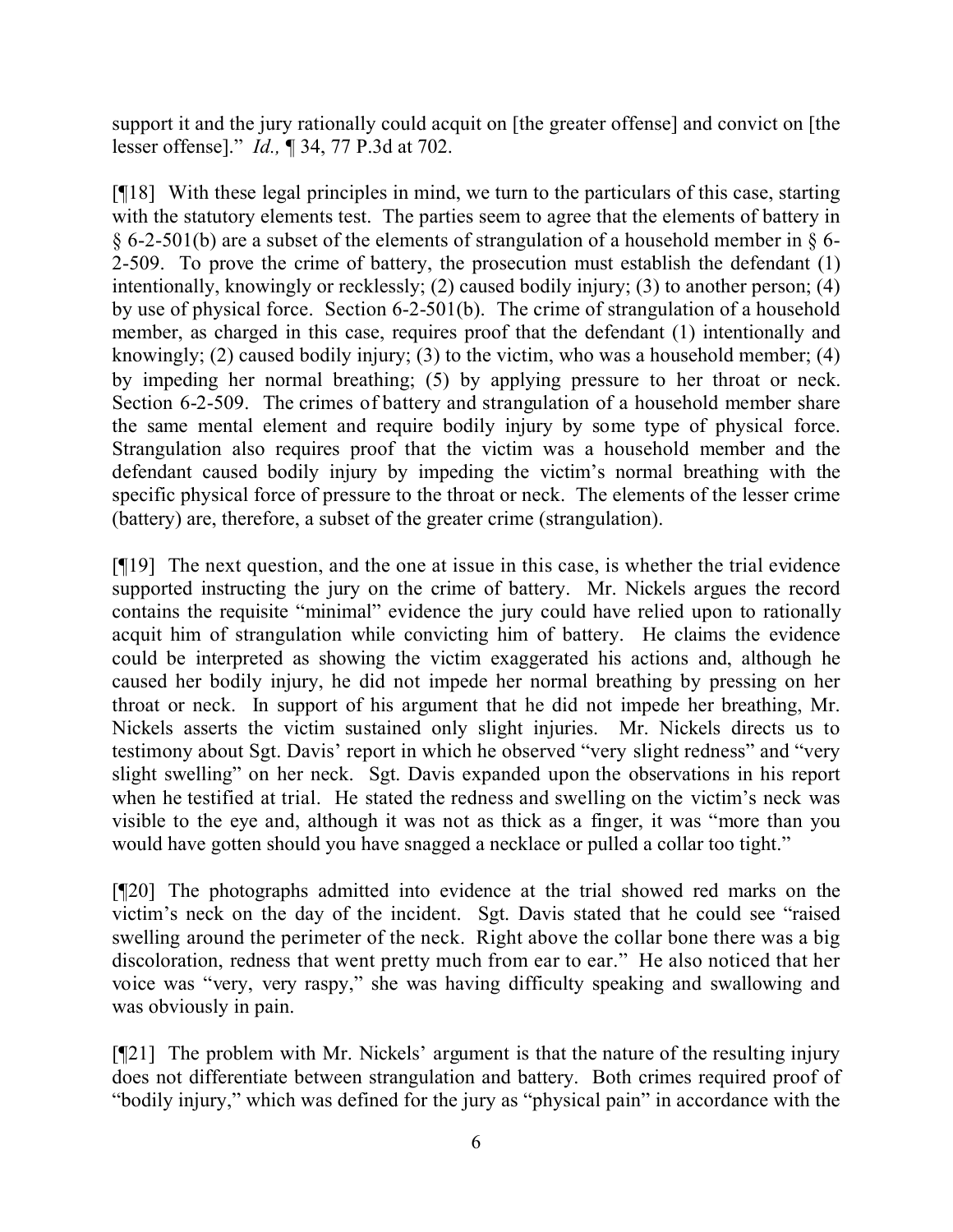support it and the jury rationally could acquit on [the greater offense] and convict on [the lesser offense]." *Id.,* ¶ 34, 77 P.3d at 702.

[¶18] With these legal principles in mind, we turn to the particulars of this case, starting with the statutory elements test. The parties seem to agree that the elements of battery in  $\S 6$ -2-501(b) are a subset of the elements of strangulation of a household member in  $\S 6$ -2-509. To prove the crime of battery, the prosecution must establish the defendant (1) intentionally, knowingly or recklessly; (2) caused bodily injury; (3) to another person; (4) by use of physical force. Section 6-2-501(b). The crime of strangulation of a household member, as charged in this case, requires proof that the defendant (1) intentionally and knowingly; (2) caused bodily injury; (3) to the victim, who was a household member; (4) by impeding her normal breathing; (5) by applying pressure to her throat or neck. Section 6-2-509. The crimes of battery and strangulation of a household member share the same mental element and require bodily injury by some type of physical force. Strangulation also requires proof that the victim was a household member and the defendant caused bodily injury by impeding the victim's normal breathing with the specific physical force of pressure to the throat or neck. The elements of the lesser crime (battery) are, therefore, a subset of the greater crime (strangulation).

[¶19] The next question, and the one at issue in this case, is whether the trial evidence supported instructing the jury on the crime of battery. Mr. Nickels argues the record contains the requisite "minimal" evidence the jury could have relied upon to rationally acquit him of strangulation while convicting him of battery. He claims the evidence could be interpreted as showing the victim exaggerated his actions and, although he caused her bodily injury, he did not impede her normal breathing by pressing on her throat or neck. In support of his argument that he did not impede her breathing, Mr. Nickels asserts the victim sustained only slight injuries. Mr. Nickels directs us to testimony about Sgt. Davis' report in which he observed "very slight redness" and "very slight swelling" on her neck. Sgt. Davis expanded upon the observations in his report when he testified at trial. He stated the redness and swelling on the victim's neck was visible to the eye and, although it was not as thick as a finger, it was "more than you would have gotten should you have snagged a necklace or pulled a collar too tight."

[¶20] The photographs admitted into evidence at the trial showed red marks on the victim's neck on the day of the incident. Sgt. Davis stated that he could see "raised swelling around the perimeter of the neck. Right above the collar bone there was a big discoloration, redness that went pretty much from ear to ear." He also noticed that her voice was "very, very raspy," she was having difficulty speaking and swallowing and was obviously in pain.

[¶21] The problem with Mr. Nickels' argument is that the nature of the resulting injury does not differentiate between strangulation and battery. Both crimes required proof of "bodily injury," which was defined for the jury as "physical pain" in accordance with the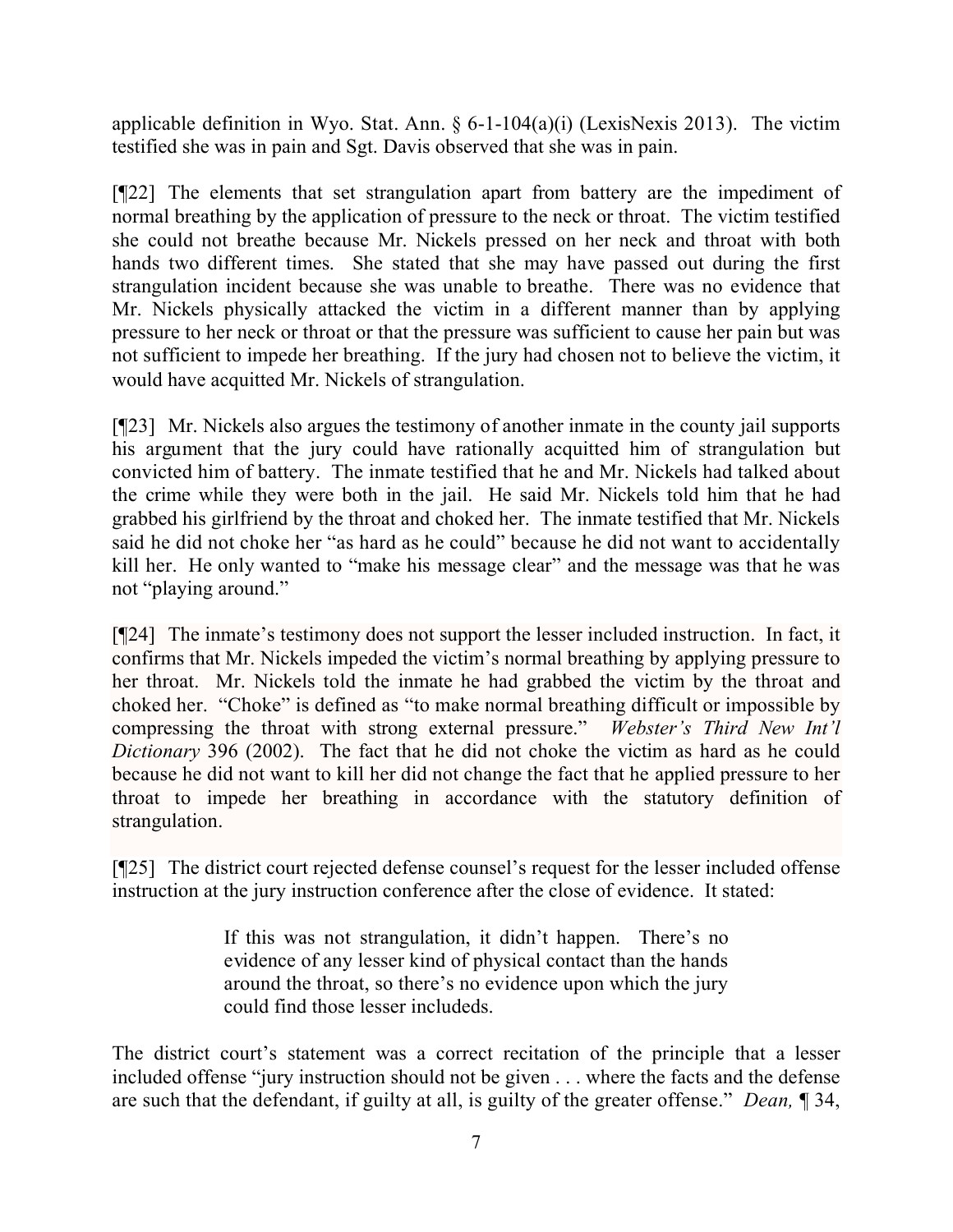applicable definition in Wyo. Stat. Ann.  $\S 6$ -1-104(a)(i) (LexisNexis 2013). The victim testified she was in pain and Sgt. Davis observed that she was in pain.

[¶22] The elements that set strangulation apart from battery are the impediment of normal breathing by the application of pressure to the neck or throat. The victim testified she could not breathe because Mr. Nickels pressed on her neck and throat with both hands two different times. She stated that she may have passed out during the first strangulation incident because she was unable to breathe. There was no evidence that Mr. Nickels physically attacked the victim in a different manner than by applying pressure to her neck or throat or that the pressure was sufficient to cause her pain but was not sufficient to impede her breathing. If the jury had chosen not to believe the victim, it would have acquitted Mr. Nickels of strangulation.

[¶23] Mr. Nickels also argues the testimony of another inmate in the county jail supports his argument that the jury could have rationally acquitted him of strangulation but convicted him of battery. The inmate testified that he and Mr. Nickels had talked about the crime while they were both in the jail. He said Mr. Nickels told him that he had grabbed his girlfriend by the throat and choked her. The inmate testified that Mr. Nickels said he did not choke her "as hard as he could" because he did not want to accidentally kill her. He only wanted to "make his message clear" and the message was that he was not "playing around."

[¶24] The inmate's testimony does not support the lesser included instruction. In fact, it confirms that Mr. Nickels impeded the victim's normal breathing by applying pressure to her throat. Mr. Nickels told the inmate he had grabbed the victim by the throat and choked her. "Choke" is defined as "to make normal breathing difficult or impossible by compressing the throat with strong external pressure." *Webster's Third New Int'l Dictionary* 396 (2002). The fact that he did not choke the victim as hard as he could because he did not want to kill her did not change the fact that he applied pressure to her throat to impede her breathing in accordance with the statutory definition of strangulation.

[¶25] The district court rejected defense counsel's request for the lesser included offense instruction at the jury instruction conference after the close of evidence. It stated:

> If this was not strangulation, it didn't happen. There's no evidence of any lesser kind of physical contact than the hands around the throat, so there's no evidence upon which the jury could find those lesser includeds.

The district court's statement was a correct recitation of the principle that a lesser included offense "jury instruction should not be given . . . where the facts and the defense are such that the defendant, if guilty at all, is guilty of the greater offense." *Dean,* ¶ 34,